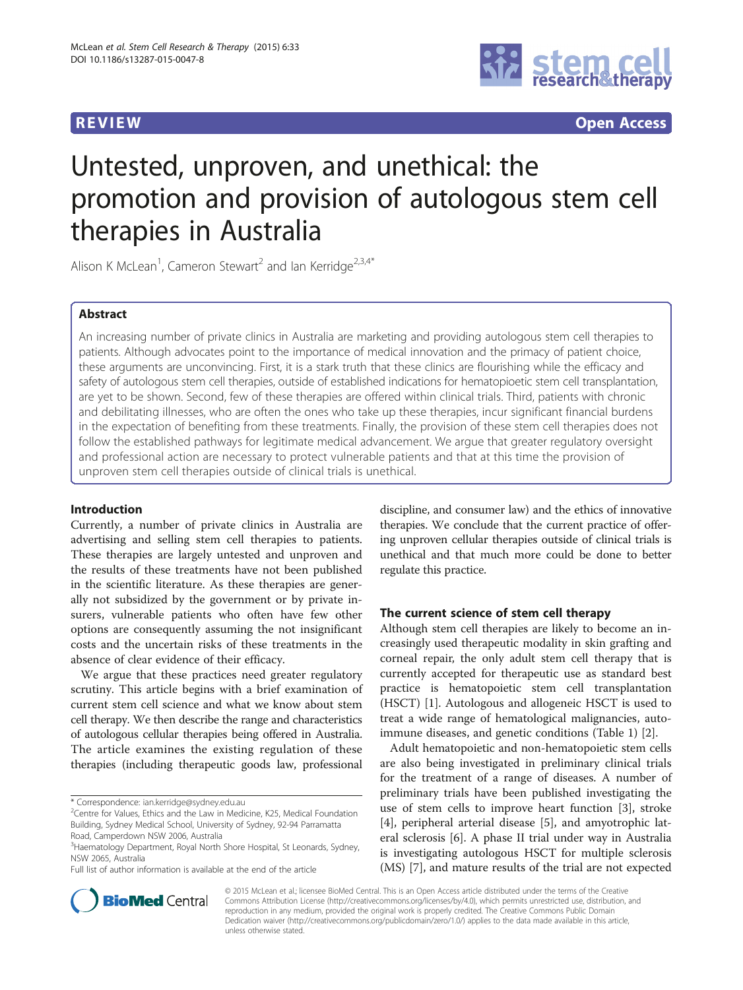

**REVIEW CONSTRUCTION CONSTRUCTION CONSTRUCTS** 

# Untested, unproven, and unethical: the promotion and provision of autologous stem cell therapies in Australia

Alison K McLean<sup>1</sup>, Cameron Stewart<sup>2</sup> and Ian Kerridge<sup>2,3,4\*</sup>

# Abstract

An increasing number of private clinics in Australia are marketing and providing autologous stem cell therapies to patients. Although advocates point to the importance of medical innovation and the primacy of patient choice, these arguments are unconvincing. First, it is a stark truth that these clinics are flourishing while the efficacy and safety of autologous stem cell therapies, outside of established indications for hematopioetic stem cell transplantation, are yet to be shown. Second, few of these therapies are offered within clinical trials. Third, patients with chronic and debilitating illnesses, who are often the ones who take up these therapies, incur significant financial burdens in the expectation of benefiting from these treatments. Finally, the provision of these stem cell therapies does not follow the established pathways for legitimate medical advancement. We argue that greater regulatory oversight and professional action are necessary to protect vulnerable patients and that at this time the provision of unproven stem cell therapies outside of clinical trials is unethical.

# Introduction

Currently, a number of private clinics in Australia are advertising and selling stem cell therapies to patients. These therapies are largely untested and unproven and the results of these treatments have not been published in the scientific literature. As these therapies are generally not subsidized by the government or by private insurers, vulnerable patients who often have few other options are consequently assuming the not insignificant costs and the uncertain risks of these treatments in the absence of clear evidence of their efficacy.

We argue that these practices need greater regulatory scrutiny. This article begins with a brief examination of current stem cell science and what we know about stem cell therapy. We then describe the range and characteristics of autologous cellular therapies being offered in Australia. The article examines the existing regulation of these therapies (including therapeutic goods law, professional

discipline, and consumer law) and the ethics of innovative therapies. We conclude that the current practice of offering unproven cellular therapies outside of clinical trials is unethical and that much more could be done to better regulate this practice.

## The current science of stem cell therapy

Although stem cell therapies are likely to become an increasingly used therapeutic modality in skin grafting and corneal repair, the only adult stem cell therapy that is currently accepted for therapeutic use as standard best practice is hematopoietic stem cell transplantation (HSCT) [[1](#page-6-0)]. Autologous and allogeneic HSCT is used to treat a wide range of hematological malignancies, autoimmune diseases, and genetic conditions (Table [1](#page-1-0)) [[2](#page-6-0)].

Adult hematopoietic and non-hematopoietic stem cells are also being investigated in preliminary clinical trials for the treatment of a range of diseases. A number of preliminary trials have been published investigating the use of stem cells to improve heart function [[3\]](#page-6-0), stroke [[4\]](#page-6-0), peripheral arterial disease [\[5](#page-6-0)], and amyotrophic lateral sclerosis [[6\]](#page-6-0). A phase II trial under way in Australia is investigating autologous HSCT for multiple sclerosis (MS) [\[7](#page-6-0)], and mature results of the trial are not expected



© 2015 McLean et al.; licensee BioMed Central. This is an Open Access article distributed under the terms of the Creative Commons Attribution License [\(http://creativecommons.org/licenses/by/4.0\)](http://creativecommons.org/licenses/by/4.0), which permits unrestricted use, distribution, and reproduction in any medium, provided the original work is properly credited. The Creative Commons Public Domain Dedication waiver [\(http://creativecommons.org/publicdomain/zero/1.0/](http://creativecommons.org/publicdomain/zero/1.0/)) applies to the data made available in this article, unless otherwise stated.

<sup>\*</sup> Correspondence: [ian.kerridge@sydney.edu.au](mailto:ian.kerridge@sydney.edu.au) <sup>2</sup>

 $2$ Centre for Values, Ethics and the Law in Medicine, K25, Medical Foundation Building, Sydney Medical School, University of Sydney, 92-94 Parramatta Road, Camperdown NSW 2006, Australia

<sup>&</sup>lt;sup>3</sup> Haematology Department, Royal North Shore Hospital, St Leonards, Sydney, NSW 2065, Australia

Full list of author information is available at the end of the article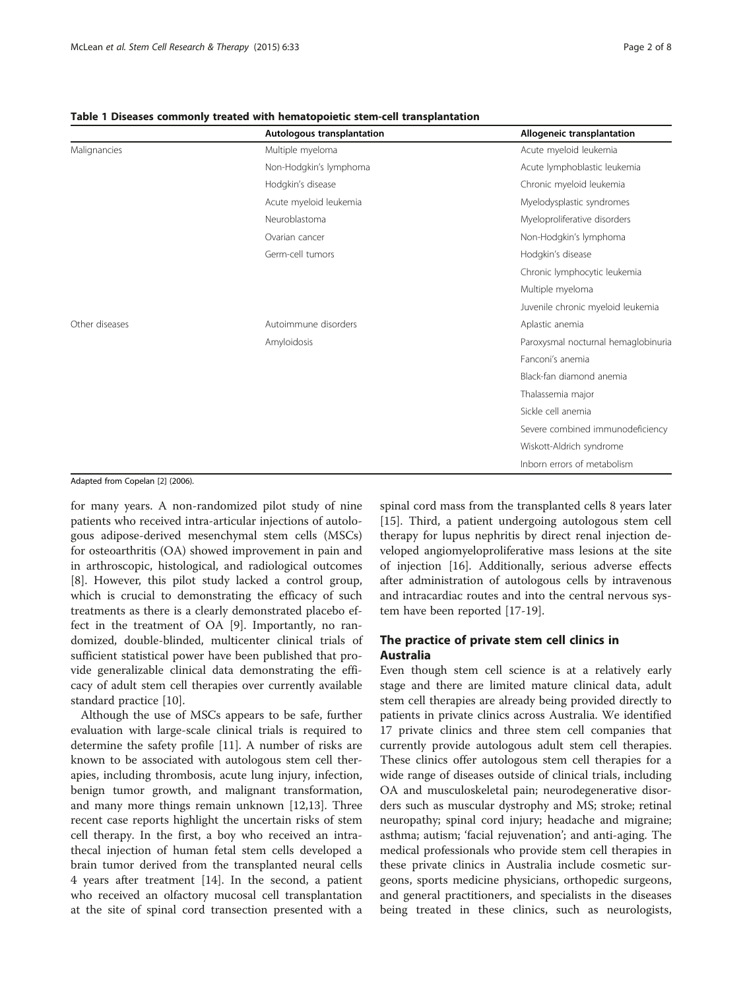|                | Autologous transplantation | Allogeneic transplantation          |
|----------------|----------------------------|-------------------------------------|
| Malignancies   | Multiple myeloma           | Acute myeloid leukemia              |
|                | Non-Hodgkin's lymphoma     | Acute lymphoblastic leukemia        |
|                | Hodgkin's disease          | Chronic myeloid leukemia            |
|                | Acute myeloid leukemia     | Myelodysplastic syndromes           |
|                | Neuroblastoma              | Myeloproliferative disorders        |
|                | Ovarian cancer             | Non-Hodgkin's lymphoma              |
|                | Germ-cell tumors           | Hodgkin's disease                   |
|                |                            | Chronic lymphocytic leukemia        |
|                |                            | Multiple myeloma                    |
|                |                            | Juvenile chronic myeloid leukemia   |
| Other diseases | Autoimmune disorders       | Aplastic anemia                     |
|                | Amyloidosis                | Paroxysmal nocturnal hemaglobinuria |
|                |                            | Fanconi's anemia                    |
|                |                            | Black-fan diamond anemia            |
|                |                            | Thalassemia major                   |
|                |                            | Sickle cell anemia                  |
|                |                            | Severe combined immunodeficiency    |
|                |                            | Wiskott-Aldrich syndrome            |
|                |                            | Inborn errors of metabolism         |

<span id="page-1-0"></span>Table 1 Diseases commonly treated with hematopoietic stem-cell transplantation

Adapted from Copelan [\[2\]](#page-6-0) (2006).

for many years. A non-randomized pilot study of nine patients who received intra-articular injections of autologous adipose-derived mesenchymal stem cells (MSCs) for osteoarthritis (OA) showed improvement in pain and in arthroscopic, histological, and radiological outcomes [[8\]](#page-6-0). However, this pilot study lacked a control group, which is crucial to demonstrating the efficacy of such treatments as there is a clearly demonstrated placebo effect in the treatment of OA [\[9](#page-6-0)]. Importantly, no randomized, double-blinded, multicenter clinical trials of sufficient statistical power have been published that provide generalizable clinical data demonstrating the efficacy of adult stem cell therapies over currently available standard practice [\[10](#page-6-0)].

Although the use of MSCs appears to be safe, further evaluation with large-scale clinical trials is required to determine the safety profile [\[11](#page-6-0)]. A number of risks are known to be associated with autologous stem cell therapies, including thrombosis, acute lung injury, infection, benign tumor growth, and malignant transformation, and many more things remain unknown [\[12,13\]](#page-6-0). Three recent case reports highlight the uncertain risks of stem cell therapy. In the first, a boy who received an intrathecal injection of human fetal stem cells developed a brain tumor derived from the transplanted neural cells 4 years after treatment [[14](#page-6-0)]. In the second, a patient who received an olfactory mucosal cell transplantation at the site of spinal cord transection presented with a spinal cord mass from the transplanted cells 8 years later [[15\]](#page-6-0). Third, a patient undergoing autologous stem cell therapy for lupus nephritis by direct renal injection developed angiomyeloproliferative mass lesions at the site of injection [[16\]](#page-6-0). Additionally, serious adverse effects after administration of autologous cells by intravenous and intracardiac routes and into the central nervous system have been reported [\[17-19](#page-6-0)].

# The practice of private stem cell clinics in Australia

Even though stem cell science is at a relatively early stage and there are limited mature clinical data, adult stem cell therapies are already being provided directly to patients in private clinics across Australia. We identified 17 private clinics and three stem cell companies that currently provide autologous adult stem cell therapies. These clinics offer autologous stem cell therapies for a wide range of diseases outside of clinical trials, including OA and musculoskeletal pain; neurodegenerative disorders such as muscular dystrophy and MS; stroke; retinal neuropathy; spinal cord injury; headache and migraine; asthma; autism; 'facial rejuvenation'; and anti-aging. The medical professionals who provide stem cell therapies in these private clinics in Australia include cosmetic surgeons, sports medicine physicians, orthopedic surgeons, and general practitioners, and specialists in the diseases being treated in these clinics, such as neurologists,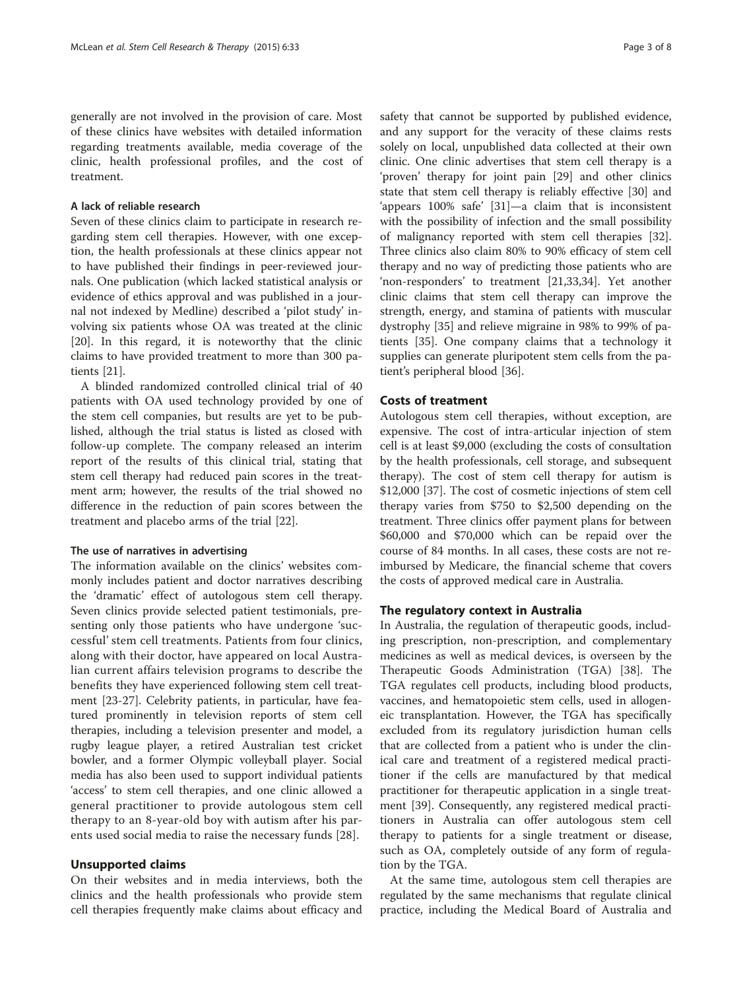generally are not involved in the provision of care. Most of these clinics have websites with detailed information regarding treatments available, media coverage of the clinic, health professional profiles, and the cost of treatment.

# A lack of reliable research

Seven of these clinics claim to participate in research regarding stem cell therapies. However, with one exception, the health professionals at these clinics appear not to have published their findings in peer-reviewed journals. One publication (which lacked statistical analysis or evidence of ethics approval and was published in a journal not indexed by Medline) described a 'pilot study' involving six patients whose OA was treated at the clinic [[20\]](#page-6-0). In this regard, it is noteworthy that the clinic claims to have provided treatment to more than 300 patients [\[21](#page-6-0)].

A blinded randomized controlled clinical trial of 40 patients with OA used technology provided by one of the stem cell companies, but results are yet to be published, although the trial status is listed as closed with follow-up complete. The company released an interim report of the results of this clinical trial, stating that stem cell therapy had reduced pain scores in the treatment arm; however, the results of the trial showed no difference in the reduction of pain scores between the treatment and placebo arms of the trial [[22\]](#page-6-0).

#### The use of narratives in advertising

The information available on the clinics' websites commonly includes patient and doctor narratives describing the 'dramatic' effect of autologous stem cell therapy. Seven clinics provide selected patient testimonials, presenting only those patients who have undergone 'successful' stem cell treatments. Patients from four clinics, along with their doctor, have appeared on local Australian current affairs television programs to describe the benefits they have experienced following stem cell treatment [[23-27](#page-6-0)]. Celebrity patients, in particular, have featured prominently in television reports of stem cell therapies, including a television presenter and model, a rugby league player, a retired Australian test cricket bowler, and a former Olympic volleyball player. Social media has also been used to support individual patients 'access' to stem cell therapies, and one clinic allowed a general practitioner to provide autologous stem cell therapy to an 8-year-old boy with autism after his parents used social media to raise the necessary funds [[28\]](#page-6-0).

# Unsupported claims

On their websites and in media interviews, both the clinics and the health professionals who provide stem cell therapies frequently make claims about efficacy and

safety that cannot be supported by published evidence, and any support for the veracity of these claims rests solely on local, unpublished data collected at their own clinic. One clinic advertises that stem cell therapy is a 'proven' therapy for joint pain [[29](#page-6-0)] and other clinics state that stem cell therapy is reliably effective [[30\]](#page-6-0) and 'appears 100% safe' [\[31](#page-6-0)]—a claim that is inconsistent with the possibility of infection and the small possibility of malignancy reported with stem cell therapies [\[32](#page-6-0)]. Three clinics also claim 80% to 90% efficacy of stem cell therapy and no way of predicting those patients who are 'non-responders' to treatment [\[21,33,34](#page-6-0)]. Yet another clinic claims that stem cell therapy can improve the strength, energy, and stamina of patients with muscular dystrophy [\[35\]](#page-6-0) and relieve migraine in 98% to 99% of patients [[35](#page-6-0)]. One company claims that a technology it supplies can generate pluripotent stem cells from the patient's peripheral blood [\[36\]](#page-6-0).

## Costs of treatment

Autologous stem cell therapies, without exception, are expensive. The cost of intra-articular injection of stem cell is at least \$9,000 (excluding the costs of consultation by the health professionals, cell storage, and subsequent therapy). The cost of stem cell therapy for autism is \$12,000 [\[37](#page-6-0)]. The cost of cosmetic injections of stem cell therapy varies from \$750 to \$2,500 depending on the treatment. Three clinics offer payment plans for between \$60,000 and \$70,000 which can be repaid over the course of 84 months. In all cases, these costs are not reimbursed by Medicare, the financial scheme that covers the costs of approved medical care in Australia.

#### The regulatory context in Australia

In Australia, the regulation of therapeutic goods, including prescription, non-prescription, and complementary medicines as well as medical devices, is overseen by the Therapeutic Goods Administration (TGA) [\[38](#page-6-0)]. The TGA regulates cell products, including blood products, vaccines, and hematopoietic stem cells, used in allogeneic transplantation. However, the TGA has specifically excluded from its regulatory jurisdiction human cells that are collected from a patient who is under the clinical care and treatment of a registered medical practitioner if the cells are manufactured by that medical practitioner for therapeutic application in a single treatment [[39\]](#page-6-0). Consequently, any registered medical practitioners in Australia can offer autologous stem cell therapy to patients for a single treatment or disease, such as OA, completely outside of any form of regulation by the TGA.

At the same time, autologous stem cell therapies are regulated by the same mechanisms that regulate clinical practice, including the Medical Board of Australia and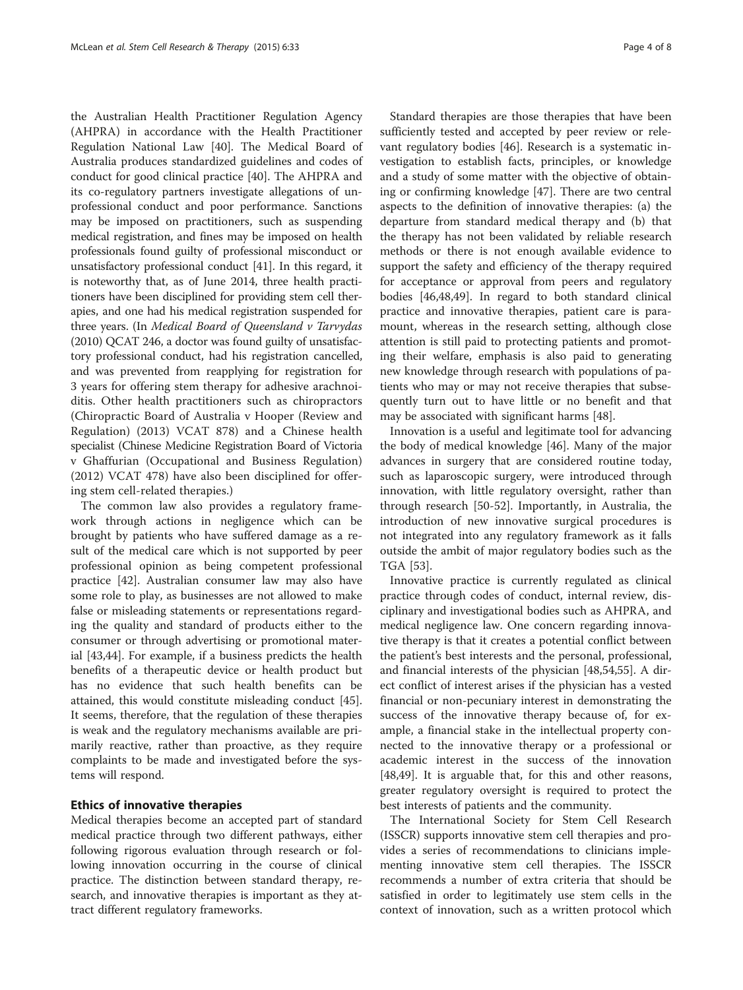the Australian Health Practitioner Regulation Agency (AHPRA) in accordance with the Health Practitioner Regulation National Law [\[40](#page-6-0)]. The Medical Board of Australia produces standardized guidelines and codes of conduct for good clinical practice [\[40](#page-6-0)]. The AHPRA and its co-regulatory partners investigate allegations of unprofessional conduct and poor performance. Sanctions may be imposed on practitioners, such as suspending medical registration, and fines may be imposed on health professionals found guilty of professional misconduct or unsatisfactory professional conduct [[41](#page-6-0)]. In this regard, it is noteworthy that, as of June 2014, three health practitioners have been disciplined for providing stem cell therapies, and one had his medical registration suspended for three years. (In Medical Board of Queensland v Tarvydas (2010) QCAT 246, a doctor was found guilty of unsatisfactory professional conduct, had his registration cancelled, and was prevented from reapplying for registration for 3 years for offering stem therapy for adhesive arachnoiditis. Other health practitioners such as chiropractors (Chiropractic Board of Australia v Hooper (Review and Regulation) (2013) VCAT 878) and a Chinese health specialist (Chinese Medicine Registration Board of Victoria v Ghaffurian (Occupational and Business Regulation) (2012) VCAT 478) have also been disciplined for offering stem cell-related therapies.)

The common law also provides a regulatory framework through actions in negligence which can be brought by patients who have suffered damage as a result of the medical care which is not supported by peer professional opinion as being competent professional practice [\[42\]](#page-6-0). Australian consumer law may also have some role to play, as businesses are not allowed to make false or misleading statements or representations regarding the quality and standard of products either to the consumer or through advertising or promotional material [[43](#page-6-0),[44](#page-6-0)]. For example, if a business predicts the health benefits of a therapeutic device or health product but has no evidence that such health benefits can be attained, this would constitute misleading conduct [\[45](#page-6-0)]. It seems, therefore, that the regulation of these therapies is weak and the regulatory mechanisms available are primarily reactive, rather than proactive, as they require complaints to be made and investigated before the systems will respond.

# Ethics of innovative therapies

Medical therapies become an accepted part of standard medical practice through two different pathways, either following rigorous evaluation through research or following innovation occurring in the course of clinical practice. The distinction between standard therapy, research, and innovative therapies is important as they attract different regulatory frameworks.

Standard therapies are those therapies that have been sufficiently tested and accepted by peer review or relevant regulatory bodies [[46\]](#page-6-0). Research is a systematic investigation to establish facts, principles, or knowledge and a study of some matter with the objective of obtaining or confirming knowledge [[47\]](#page-6-0). There are two central aspects to the definition of innovative therapies: (a) the departure from standard medical therapy and (b) that the therapy has not been validated by reliable research methods or there is not enough available evidence to support the safety and efficiency of the therapy required for acceptance or approval from peers and regulatory bodies [[46,48,49](#page-6-0)]. In regard to both standard clinical practice and innovative therapies, patient care is paramount, whereas in the research setting, although close attention is still paid to protecting patients and promoting their welfare, emphasis is also paid to generating new knowledge through research with populations of patients who may or may not receive therapies that subsequently turn out to have little or no benefit and that may be associated with significant harms [\[48](#page-6-0)].

Innovation is a useful and legitimate tool for advancing the body of medical knowledge [\[46](#page-6-0)]. Many of the major advances in surgery that are considered routine today, such as laparoscopic surgery, were introduced through innovation, with little regulatory oversight, rather than through research [[50-52](#page-6-0)]. Importantly, in Australia, the introduction of new innovative surgical procedures is not integrated into any regulatory framework as it falls outside the ambit of major regulatory bodies such as the TGA [[53](#page-6-0)].

Innovative practice is currently regulated as clinical practice through codes of conduct, internal review, disciplinary and investigational bodies such as AHPRA, and medical negligence law. One concern regarding innovative therapy is that it creates a potential conflict between the patient's best interests and the personal, professional, and financial interests of the physician [\[48,54,55\]](#page-6-0). A direct conflict of interest arises if the physician has a vested financial or non-pecuniary interest in demonstrating the success of the innovative therapy because of, for example, a financial stake in the intellectual property connected to the innovative therapy or a professional or academic interest in the success of the innovation [[48,49\]](#page-6-0). It is arguable that, for this and other reasons, greater regulatory oversight is required to protect the best interests of patients and the community.

The International Society for Stem Cell Research (ISSCR) supports innovative stem cell therapies and provides a series of recommendations to clinicians implementing innovative stem cell therapies. The ISSCR recommends a number of extra criteria that should be satisfied in order to legitimately use stem cells in the context of innovation, such as a written protocol which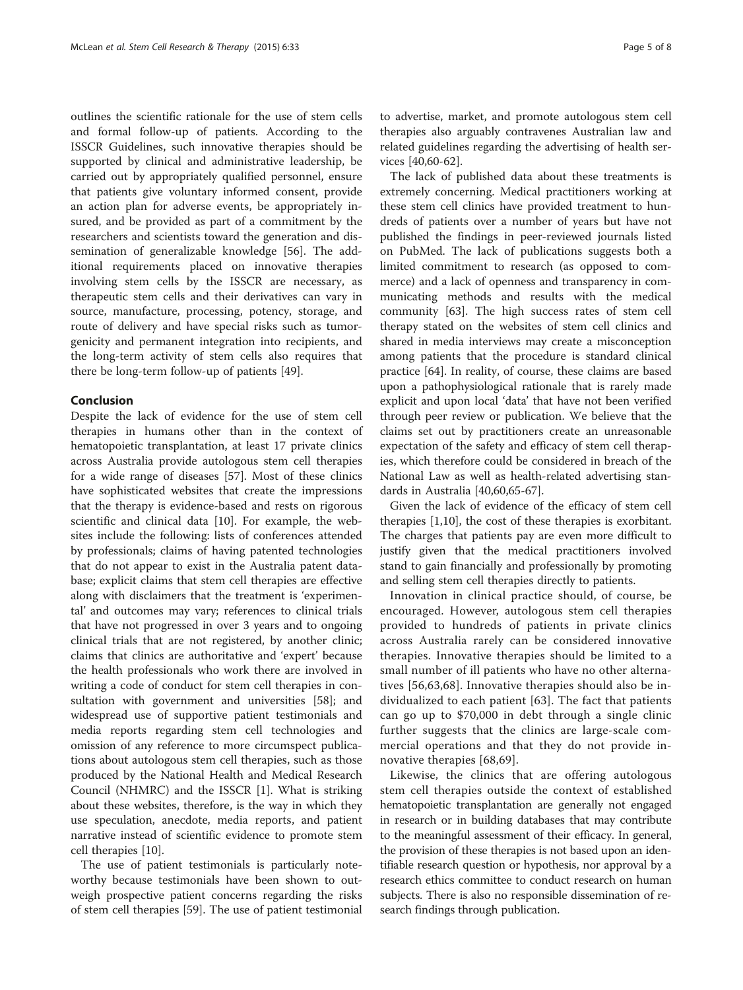outlines the scientific rationale for the use of stem cells and formal follow-up of patients. According to the ISSCR Guidelines, such innovative therapies should be supported by clinical and administrative leadership, be carried out by appropriately qualified personnel, ensure that patients give voluntary informed consent, provide an action plan for adverse events, be appropriately insured, and be provided as part of a commitment by the researchers and scientists toward the generation and dissemination of generalizable knowledge [\[56](#page-7-0)]. The additional requirements placed on innovative therapies involving stem cells by the ISSCR are necessary, as therapeutic stem cells and their derivatives can vary in source, manufacture, processing, potency, storage, and route of delivery and have special risks such as tumorgenicity and permanent integration into recipients, and the long-term activity of stem cells also requires that there be long-term follow-up of patients [\[49\]](#page-6-0).

## Conclusion

Despite the lack of evidence for the use of stem cell therapies in humans other than in the context of hematopoietic transplantation, at least 17 private clinics across Australia provide autologous stem cell therapies for a wide range of diseases [[57\]](#page-7-0). Most of these clinics have sophisticated websites that create the impressions that the therapy is evidence-based and rests on rigorous scientific and clinical data [[10\]](#page-6-0). For example, the websites include the following: lists of conferences attended by professionals; claims of having patented technologies that do not appear to exist in the Australia patent database; explicit claims that stem cell therapies are effective along with disclaimers that the treatment is 'experimental' and outcomes may vary; references to clinical trials that have not progressed in over 3 years and to ongoing clinical trials that are not registered, by another clinic; claims that clinics are authoritative and 'expert' because the health professionals who work there are involved in writing a code of conduct for stem cell therapies in consultation with government and universities [\[58](#page-7-0)]; and widespread use of supportive patient testimonials and media reports regarding stem cell technologies and omission of any reference to more circumspect publications about autologous stem cell therapies, such as those produced by the National Health and Medical Research Council (NHMRC) and the ISSCR [[1\]](#page-6-0). What is striking about these websites, therefore, is the way in which they use speculation, anecdote, media reports, and patient narrative instead of scientific evidence to promote stem cell therapies [[10](#page-6-0)].

The use of patient testimonials is particularly noteworthy because testimonials have been shown to outweigh prospective patient concerns regarding the risks of stem cell therapies [[59\]](#page-7-0). The use of patient testimonial

to advertise, market, and promote autologous stem cell therapies also arguably contravenes Australian law and related guidelines regarding the advertising of health services [\[40](#page-6-0)[,60](#page-7-0)-[62\]](#page-7-0).

The lack of published data about these treatments is extremely concerning. Medical practitioners working at these stem cell clinics have provided treatment to hundreds of patients over a number of years but have not published the findings in peer-reviewed journals listed on PubMed. The lack of publications suggests both a limited commitment to research (as opposed to commerce) and a lack of openness and transparency in communicating methods and results with the medical community [\[63\]](#page-7-0). The high success rates of stem cell therapy stated on the websites of stem cell clinics and shared in media interviews may create a misconception among patients that the procedure is standard clinical practice [\[64](#page-7-0)]. In reality, of course, these claims are based upon a pathophysiological rationale that is rarely made explicit and upon local 'data' that have not been verified through peer review or publication. We believe that the claims set out by practitioners create an unreasonable expectation of the safety and efficacy of stem cell therapies, which therefore could be considered in breach of the National Law as well as health-related advertising standards in Australia [[40,](#page-6-0)[60,65-67\]](#page-7-0).

Given the lack of evidence of the efficacy of stem cell therapies [\[1,10\]](#page-6-0), the cost of these therapies is exorbitant. The charges that patients pay are even more difficult to justify given that the medical practitioners involved stand to gain financially and professionally by promoting and selling stem cell therapies directly to patients.

Innovation in clinical practice should, of course, be encouraged. However, autologous stem cell therapies provided to hundreds of patients in private clinics across Australia rarely can be considered innovative therapies. Innovative therapies should be limited to a small number of ill patients who have no other alternatives [\[56](#page-7-0),[63,68\]](#page-7-0). Innovative therapies should also be individualized to each patient [\[63\]](#page-7-0). The fact that patients can go up to \$70,000 in debt through a single clinic further suggests that the clinics are large-scale commercial operations and that they do not provide innovative therapies [[68,69](#page-7-0)].

Likewise, the clinics that are offering autologous stem cell therapies outside the context of established hematopoietic transplantation are generally not engaged in research or in building databases that may contribute to the meaningful assessment of their efficacy. In general, the provision of these therapies is not based upon an identifiable research question or hypothesis, nor approval by a research ethics committee to conduct research on human subjects. There is also no responsible dissemination of research findings through publication.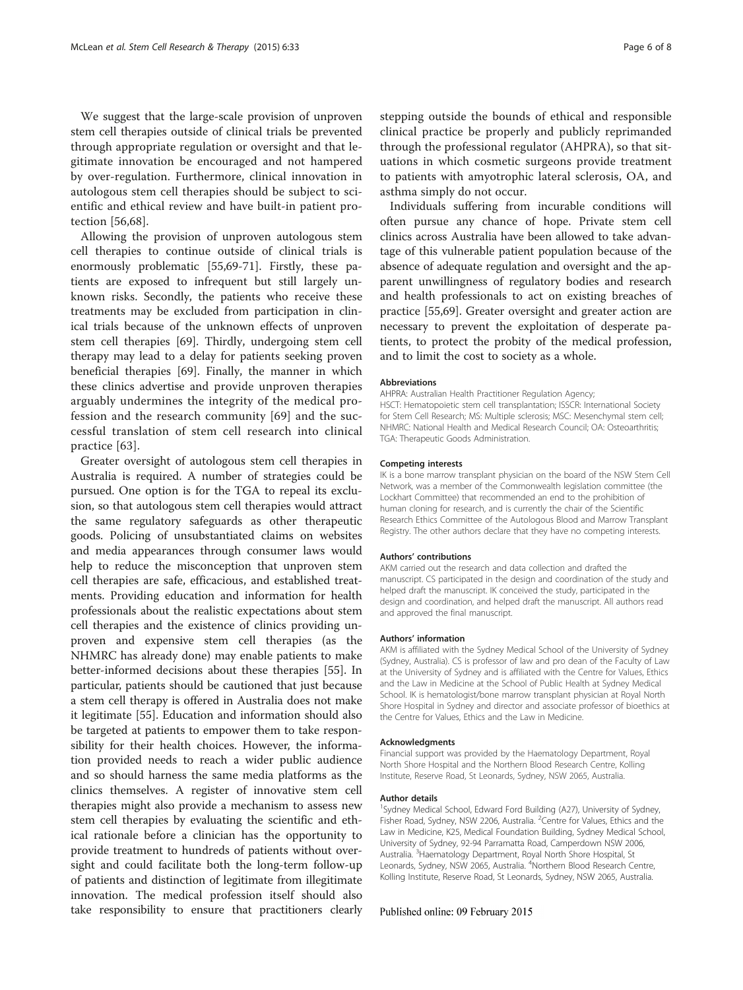We suggest that the large-scale provision of unproven stem cell therapies outside of clinical trials be prevented through appropriate regulation or oversight and that legitimate innovation be encouraged and not hampered by over-regulation. Furthermore, clinical innovation in autologous stem cell therapies should be subject to scientific and ethical review and have built-in patient protection [[56,68\]](#page-7-0).

Allowing the provision of unproven autologous stem cell therapies to continue outside of clinical trials is enormously problematic [\[55](#page-6-0)[,69](#page-7-0)-[71](#page-7-0)]. Firstly, these patients are exposed to infrequent but still largely unknown risks. Secondly, the patients who receive these treatments may be excluded from participation in clinical trials because of the unknown effects of unproven stem cell therapies [\[69](#page-7-0)]. Thirdly, undergoing stem cell therapy may lead to a delay for patients seeking proven beneficial therapies [\[69\]](#page-7-0). Finally, the manner in which these clinics advertise and provide unproven therapies arguably undermines the integrity of the medical profession and the research community [[69](#page-7-0)] and the successful translation of stem cell research into clinical practice [\[63\]](#page-7-0).

Greater oversight of autologous stem cell therapies in Australia is required. A number of strategies could be pursued. One option is for the TGA to repeal its exclusion, so that autologous stem cell therapies would attract the same regulatory safeguards as other therapeutic goods. Policing of unsubstantiated claims on websites and media appearances through consumer laws would help to reduce the misconception that unproven stem cell therapies are safe, efficacious, and established treatments. Providing education and information for health professionals about the realistic expectations about stem cell therapies and the existence of clinics providing unproven and expensive stem cell therapies (as the NHMRC has already done) may enable patients to make better-informed decisions about these therapies [[55\]](#page-6-0). In particular, patients should be cautioned that just because a stem cell therapy is offered in Australia does not make it legitimate [[55\]](#page-6-0). Education and information should also be targeted at patients to empower them to take responsibility for their health choices. However, the information provided needs to reach a wider public audience and so should harness the same media platforms as the clinics themselves. A register of innovative stem cell therapies might also provide a mechanism to assess new stem cell therapies by evaluating the scientific and ethical rationale before a clinician has the opportunity to provide treatment to hundreds of patients without oversight and could facilitate both the long-term follow-up of patients and distinction of legitimate from illegitimate innovation. The medical profession itself should also take responsibility to ensure that practitioners clearly

stepping outside the bounds of ethical and responsible clinical practice be properly and publicly reprimanded through the professional regulator (AHPRA), so that situations in which cosmetic surgeons provide treatment to patients with amyotrophic lateral sclerosis, OA, and asthma simply do not occur.

Individuals suffering from incurable conditions will often pursue any chance of hope. Private stem cell clinics across Australia have been allowed to take advantage of this vulnerable patient population because of the absence of adequate regulation and oversight and the apparent unwillingness of regulatory bodies and research and health professionals to act on existing breaches of practice [\[55](#page-6-0)[,69](#page-7-0)]. Greater oversight and greater action are necessary to prevent the exploitation of desperate patients, to protect the probity of the medical profession, and to limit the cost to society as a whole.

#### Abbreviations

AHPRA: Australian Health Practitioner Regulation Agency; HSCT: Hematopoietic stem cell transplantation; ISSCR: International Society for Stem Cell Research; MS: Multiple sclerosis; MSC: Mesenchymal stem cell; NHMRC: National Health and Medical Research Council; OA: Osteoarthritis; TGA: Therapeutic Goods Administration.

#### Competing interests

IK is a bone marrow transplant physician on the board of the NSW Stem Cell Network, was a member of the Commonwealth legislation committee (the Lockhart Committee) that recommended an end to the prohibition of human cloning for research, and is currently the chair of the Scientific Research Ethics Committee of the Autologous Blood and Marrow Transplant Registry. The other authors declare that they have no competing interests.

#### Authors' contributions

AKM carried out the research and data collection and drafted the manuscript. CS participated in the design and coordination of the study and helped draft the manuscript. IK conceived the study, participated in the design and coordination, and helped draft the manuscript. All authors read and approved the final manuscript.

#### Authors' information

AKM is affiliated with the Sydney Medical School of the University of Sydney (Sydney, Australia). CS is professor of law and pro dean of the Faculty of Law at the University of Sydney and is affiliated with the Centre for Values, Ethics and the Law in Medicine at the School of Public Health at Sydney Medical School. IK is hematologist/bone marrow transplant physician at Royal North Shore Hospital in Sydney and director and associate professor of bioethics at the Centre for Values, Ethics and the Law in Medicine.

#### Acknowledgments

Financial support was provided by the Haematology Department, Royal North Shore Hospital and the Northern Blood Research Centre, Kolling Institute, Reserve Road, St Leonards, Sydney, NSW 2065, Australia.

#### Author details

<sup>1</sup>Sydney Medical School, Edward Ford Building (A27), University of Sydney Fisher Road, Sydney, NSW 2206, Australia. <sup>2</sup>Centre for Values, Ethics and the Law in Medicine, K25, Medical Foundation Building, Sydney Medical School, University of Sydney, 92-94 Parramatta Road, Camperdown NSW 2006, Australia. <sup>3</sup>Haematology Department, Royal North Shore Hospital, St Leonards, Sydney, NSW 2065, Australia. <sup>4</sup>Northern Blood Research Centre Kolling Institute, Reserve Road, St Leonards, Sydney, NSW 2065, Australia.

Published online: 09 February 2015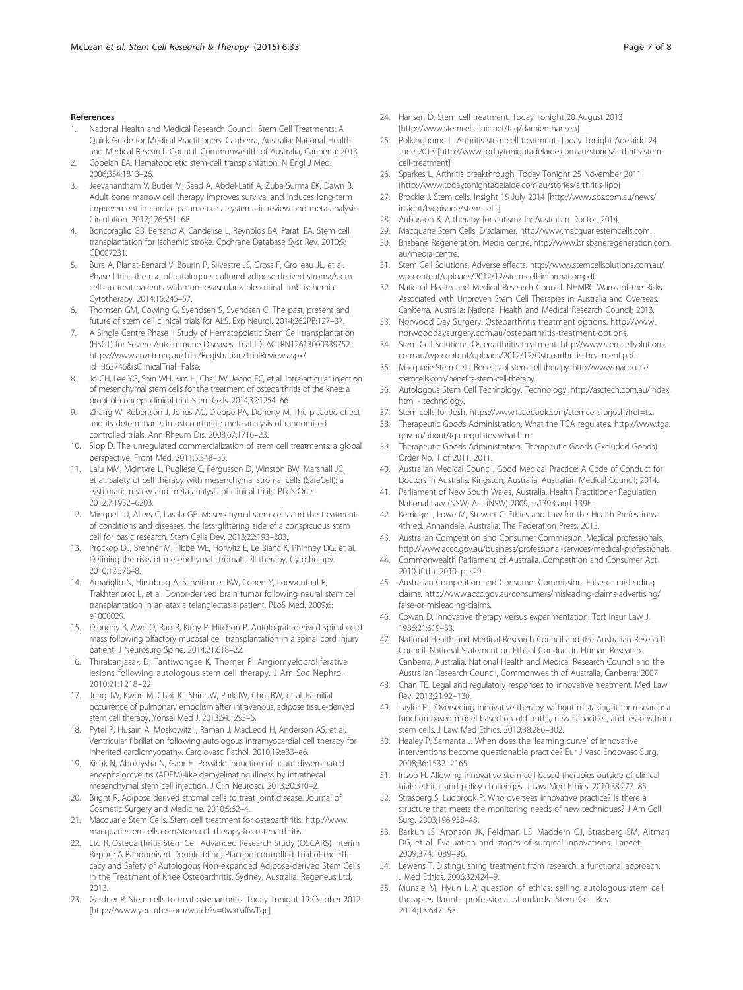#### <span id="page-6-0"></span>**References**

- 1. National Health and Medical Research Council. Stem Cell Treatments: A Quick Guide for Medical Practitioners. Canberra, Australia: National Health and Medical Research Council, Commonwealth of Australia, Canberra; 2013.
- 2. Copelan EA. Hematopoietic stem-cell transplantation. N Engl J Med. 2006;354:1813–26.
- 3. Jeevanantham V, Butler M, Saad A, Abdel-Latif A, Zuba-Surma EK, Dawn B. Adult bone marrow cell therapy improves survival and induces long-term improvement in cardiac parameters: a systematic review and meta-analysis. Circulation. 2012;126:551–68.
- 4. Boncoraglio GB, Bersano A, Candelise L, Reynolds BA, Parati EA. Stem cell transplantation for ischemic stroke. Cochrane Database Syst Rev. 2010;9: CD007231.
- 5. Bura A, Planat-Benard V, Bourin P, Silvestre JS, Gross F, Grolleau JL, et al. Phase I trial: the use of autologous cultured adipose-derived stroma/stem cells to treat patients with non-revascularizable critical limb ischemia. Cytotherapy. 2014;16:245–57.
- Thomsen GM, Gowing G, Svendsen S, Svendsen C. The past, present and future of stem cell clinical trials for ALS. Exp Neurol. 2014;262PB:127–37.
- 7. A Single Centre Phase II Study of Hematopoietic Stem Cell transplantation (HSCT) for Severe Autoimmune Diseases, Trial ID: ACTRN12613000339752. [https://www.anzctr.org.au/Trial/Registration/TrialReview.aspx?](https://www.anzctr.org.au/Trial/Registration/TrialReview.aspx?id=363746&isClinicalTrial=False) [id=363746&isClinicalTrial=False](https://www.anzctr.org.au/Trial/Registration/TrialReview.aspx?id=363746&isClinicalTrial=False).
- Jo CH, Lee YG, Shin WH, Kim H, Chai JW, Jeong EC, et al. Intra-articular injection of mesenchymal stem cells for the treatment of osteoarthritis of the knee: a proof-of-concept clinical trial. Stem Cells. 2014;32:1254–66.
- 9. Zhang W, Robertson J, Jones AC, Dieppe PA, Doherty M. The placebo effect and its determinants in osteoarthritis: meta-analysis of randomised controlled trials. Ann Rheum Dis. 2008;67:1716–23.
- 10. Sipp D. The unregulated commercialization of stem cell treatments: a global perspective. Front Med. 2011;5:348–55.
- 11. Lalu MM, McIntyre L, Pugliese C, Fergusson D, Winston BW, Marshall JC, et al. Safety of cell therapy with mesenchymal stromal cells (SafeCell): a systematic review and meta-analysis of clinical trials. PLoS One. 2012;7:1932–6203.
- 12. Minguell JJ, Allers C, Lasala GP. Mesenchymal stem cells and the treatment of conditions and diseases: the less glittering side of a conspicuous stem cell for basic research. Stem Cells Dev. 2013;22:193–203.
- 13. Prockop DJ, Brenner M, Fibbe WE, Horwitz E, Le Blanc K, Phinney DG, et al. Defining the risks of mesenchymal stromal cell therapy. Cytotherapy. 2010;12:576–8.
- 14. Amariglio N, Hirshberg A, Scheithauer BW, Cohen Y, Loewenthal R, Trakhtenbrot L, et al. Donor-derived brain tumor following neural stem cell transplantation in an ataxia telangiectasia patient. PLoS Med. 2009;6: e1000029.
- 15. Dloughy B, Awe O, Rao R, Kirby P, Hitchon P. Autolograft-derived spinal cord mass following olfactory mucosal cell transplantation in a spinal cord injury patient. J Neurosurg Spine. 2014;21:618–22.
- 16. Thirabanjasak D, Tantiwongse K, Thorner P. Angiomyeloproliferative lesions following autologous stem cell therapy. J Am Soc Nephrol. 2010;21:1218–22.
- 17. Jung JW, Kwon M, Choi JC, Shin JW, Park IW, Choi BW, et al. Familial occurrence of pulmonary embolism after intravenous, adipose tissue-derived stem cell therapy. Yonsei Med J. 2013;54:1293–6.
- 18. Pytel P, Husain A, Moskowitz I, Raman J, MacLeod H, Anderson AS, et al. Ventricular fibrillation following autologous intramyocardial cell therapy for inherited cardiomyopathy. Cardiovasc Pathol. 2010;19:e33–e6.
- 19. Kishk N, Abokrysha N, Gabr H. Possible induction of acute disseminated encephalomyelitis (ADEM)-like demyelinating illness by intrathecal mesenchymal stem cell injection. J Clin Neurosci. 2013;20:310–2.
- 20. Bright R. Adipose derived stromal cells to treat joint disease. Journal of Cosmetic Surgery and Medicine. 2010;5:62–4.
- 21. Macquarie Stem Cells. Stem cell treatment for osteoarthritis. [http://www.](http://www.macquariestemcells.com/stem-cell-therapy-for-osteoarthritis) [macquariestemcells.com/stem-cell-therapy-for-osteoarthritis.](http://www.macquariestemcells.com/stem-cell-therapy-for-osteoarthritis)
- 22. Ltd R. Osteoarthritis Stem Cell Advanced Research Study (OSCARS) Interim Report: A Randomised Double-blind, Placebo-controlled Trial of the Efficacy and Safety of Autologous Non-expanded Adipose-derived Stem Cells in the Treatment of Knee Osteoarthritis. Sydney, Australia: Regeneus Ltd; 2013.
- 23. Gardner P. Stem cells to treat osteoarthritis. Today Tonight 19 October 2012 [<https://www.youtube.com/watch?v=0wx0affwTgc>]
- 24. Hansen D. Stem cell treatment. Today Tonight 20 August 2013 [[http://www.stemcellclinic.net/tag/damien-hansen\]](http://www.stemcellclinic.net/tag/damien-hansen)
- 25. Polkinghorne L. Arthritis stem cell treatment. Today Tonight Adelaide 24 June 2013 [[http://www.todaytonightadelaide.com.au/stories/arthritis-stem](http://www.todaytonightadelaide.com.au/stories/arthritis-stem-cell-treatment)[cell-treatment](http://www.todaytonightadelaide.com.au/stories/arthritis-stem-cell-treatment)]
- 26. Sparkes L. Arthritis breakthrough. Today Tonight 25 November 2011 [[http://www.todaytonightadelaide.com.au/stories/arthritis-lipo\]](http://www.todaytonightadelaide.com.au/stories/arthritis-lipo)
- 27. Brockie J. Stem cells. Insight 15 July 2014 [[http://www.sbs.com.au/news/](http://www.sbs.com.au/news/insight/tvepisode/stem-cells) [insight/tvepisode/stem-cells\]](http://www.sbs.com.au/news/insight/tvepisode/stem-cells)
- 28. Aubusson K. A therapy for autism? In: Australian Doctor. 2014.
- 29. Macquarie Stem Cells. Disclaimer. [http://www.macquariestemcells.com](http://www.macquariestemcells.com/).
- 30. Brisbane Regeneration. Media centre. [http://www.brisbaneregeneration.com.](http://www.brisbaneregeneration.com.au/media-centre) [au/media-centre.](http://www.brisbaneregeneration.com.au/media-centre)
- 31. Stem Cell Solutions. Adverse effects. [http://www.stemcellsolutions.com.au/](http://www.stemcellsolutions.com.au/wp-content/uploads/2012/12/stem-cell-information.pdf) [wp-content/uploads/2012/12/stem-cell-information.pdf](http://www.stemcellsolutions.com.au/wp-content/uploads/2012/12/stem-cell-information.pdf).
- 32. National Health and Medical Research Council. NHMRC Warns of the Risks Associated with Unproven Stem Cell Therapies in Australia and Overseas. Canberra, Australia: National Health and Medical Research Council; 2013.
- 33. Norwood Day Surgery. Osteoarthritis treatment options. [http://www.](http://www.norwooddaysurgery.com.au/osteoarthritis-treatment-options) [norwooddaysurgery.com.au/osteoarthritis-treatment-options.](http://www.norwooddaysurgery.com.au/osteoarthritis-treatment-options)
- 34. Stem Cell Solutions. Osteoarthritis treatment. [http://www.stemcellsolutions.](http://www.stemcellsolutions.com.au/wp-content/uploads/2012/12/Osteoarthritis-Treatment.pdf) [com.au/wp-content/uploads/2012/12/Osteoarthritis-Treatment.pdf.](http://www.stemcellsolutions.com.au/wp-content/uploads/2012/12/Osteoarthritis-Treatment.pdf)
- 35. Macquarie Stem Cells. Benefits of stem cell therapy. [http://www.macquarie](http://www.macquariestemcells.com/benefits-stem-cell-therapy) [stemcells.com/benefits-stem-cell-therapy](http://www.macquariestemcells.com/benefits-stem-cell-therapy).
- 36. Autologous Stem Cell Technology. Technology. [http://asctech.com.au/index.](http://asctech.com.au/index.html) [html](http://asctech.com.au/index.html) - technology.
- 37. Stem cells for Josh.<https://www.facebook.com/stemcellsforjosh?fref=ts>.
- 38. Therapeutic Goods Administration. What the TGA regulates. [http://www.tga.](http://www.tga.gov.au/about/tga-regulates-what.htm) [gov.au/about/tga-regulates-what.htm.](http://www.tga.gov.au/about/tga-regulates-what.htm)
- 39. Therapeutic Goods Administration. Therapeutic Goods (Excluded Goods) Order No. 1 of 2011. 2011.
- 40. Australian Medical Council. Good Medical Practice: A Code of Conduct for Doctors in Australia. Kingston, Australia: Australian Medical Council; 2014.
- 41. Parliament of New South Wales, Australia. Health Practitioner Regulation National Law (NSW) Act (NSW) 2009, ss139B and 139E.
- 42. Kerridge I, Lowe M, Stewart C. Ethics and Law for the Health Professions. 4th ed. Annandale, Australia: The Federation Press; 2013.
- 43. Australian Competition and Consumer Commission. Medical professionals. <http://www.accc.gov.au/business/professional-services/medical-professionals>.
- 44. Commonwealth Parliament of Australia. Competition and Consumer Act 2010 (Cth). 2010. p. s29.
- 45. Australian Competition and Consumer Commission. False or misleading claims. [http://www.accc.gov.au/consumers/misleading-claims-advertising/](http://www.accc.gov.au/consumers/misleading-claims-advertising/false-or-misleading-claims) [false-or-misleading-claims.](http://www.accc.gov.au/consumers/misleading-claims-advertising/false-or-misleading-claims)
- 46. Cowan D. Innovative therapy versus experimentation. Tort Insur Law J. 1986;21:619–33.
- 47. National Health and Medical Research Council and the Australian Research Council. National Statement on Ethical Conduct in Human Research. Canberra, Australia: National Health and Medical Research Council and the Australian Research Council, Commonwealth of Australia, Canberra; 2007.
- 48. Chan TE. Legal and regulatory responses to innovative treatment. Med Law Rev. 2013;21:92–130.
- 49. Taylor PL. Overseeing innovative therapy without mistaking it for research: a function-based model based on old truths, new capacities, and lessons from stem cells. J Law Med Ethics. 2010;38:286–302.
- 50. Healey P, Samanta J. When does the 'learning curve' of innovative interventions become questionable practice? Eur J Vasc Endovasc Surg. 2008;36:1532–2165.
- 51. Insoo H. Allowing innovative stem cell-based therapies outside of clinical trials: ethical and policy challenges. J Law Med Ethics. 2010;38:277–85.
- 52. Strasberg S, Ludbrook P. Who oversees innovative practice? Is there a structure that meets the monitoring needs of new techniques? J Am Coll Surg. 2003;196:938–48.
- 53. Barkun JS, Aronson JK, Feldman LS, Maddern GJ, Strasberg SM, Altman DG, et al. Evaluation and stages of surgical innovations. Lancet. 2009;374:1089–96.
- 54. Lewens T. Distinguishing treatment from research: a functional approach. J Med Ethics. 2006;32:424–9.
- 55. Munsie M, Hyun I. A question of ethics: selling autologous stem cell therapies flaunts professional standards. Stem Cell Res. 2014;13:647–53.